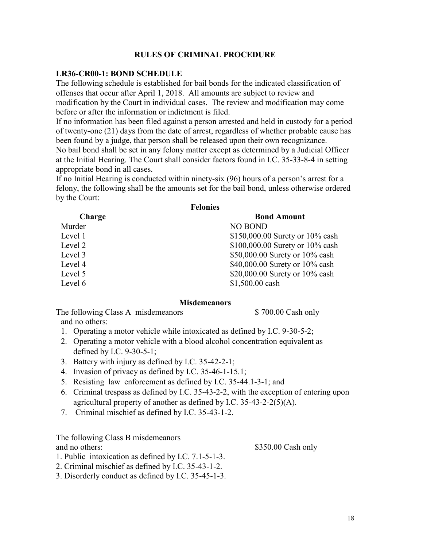## **RULES OF CRIMINAL PROCEDURE**

### **LR36-CR00-1: BOND SCHEDULE**

The following schedule is established for bail bonds for the indicated classification of offenses that occur after April 1, 2018. All amounts are subject to review and modification by the Court in individual cases. The review and modification may come before or after the information or indictment is filed.

If no information has been filed against a person arrested and held in custody for a period of twenty-one (21) days from the date of arrest, regardless of whether probable cause has been found by a judge, that person shall be released upon their own recognizance. No bail bond shall be set in any felony matter except as determined by a Judicial Officer at the Initial Hearing. The Court shall consider factors found in I.C. 35-33-8-4 in setting appropriate bond in all cases.

If no Initial Hearing is conducted within ninety-six (96) hours of a person's arrest for a felony, the following shall be the amounts set for the bail bond, unless otherwise ordered by the Court: **Felonies**

| <b>reionies</b> |                                 |
|-----------------|---------------------------------|
| Charge          | <b>Bond Amount</b>              |
| Murder          | <b>NO BOND</b>                  |
| Level 1         | \$150,000.00 Surety or 10% cash |
| Level 2         | \$100,000.00 Surety or 10% cash |
| Level 3         | \$50,000.00 Surety or 10% cash  |
| Level 4         | \$40,000.00 Surety or 10% cash  |
| Level 5         | \$20,000.00 Surety or 10% cash  |
| Level 6         | \$1,500.00 cash                 |
|                 |                                 |

#### **Misdemeanors**

The following Class A misdemeanors \$ 700.00 Cash only and no others:

- 1. Operating a motor vehicle while intoxicated as defined by I.C. 9-30-5-2;
- 2. Operating a motor vehicle with a blood alcohol concentration equivalent as defined by I.C. 9-30-5-1;
- 3. Battery with injury as defined by I.C. 35-42-2-1;
- 4. Invasion of privacy as defined by I.C. 35-46-1-15.1;
- 5. Resisting law enforcement as defined by I.C. 35-44.1-3-1; and
- 6. Criminal trespass as defined by I.C. 35-43-2-2, with the exception of entering upon agricultural property of another as defined by I.C. 35-43-2-2(5)(A).
- 7. Criminal mischief as defined by I.C. 35-43-1-2.

2. Criminal mischief as defined by I.C. 35-43-1-2. 3. Disorderly conduct as defined by I.C. 35-45-1-3.

The following Class B misdemeanors

1. Public intoxication as defined by I.C. 7.1-5-1-3.

and no others: \$350.00 Cash only